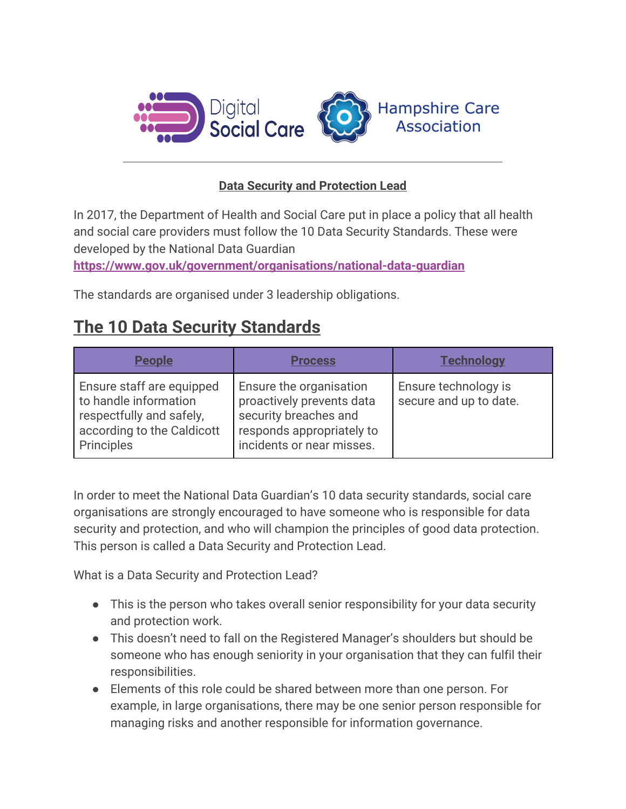

## **Data Security and Protection Lead**

In 2017, the Department of Health and Social Care put in place a policy that all health and social care providers must follow the 10 Data Security Standards. These were developed by the National Data Guardian

**<https://www.gov.uk/government/organisations/national-data-guardian>**

The standards are organised under 3 leadership obligations.

## **The 10 Data Security Standards**

| <b>People</b>                                                                                                              | <b>Process</b>                                                                                                                          | Technoloav                                            |
|----------------------------------------------------------------------------------------------------------------------------|-----------------------------------------------------------------------------------------------------------------------------------------|-------------------------------------------------------|
| Ensure staff are equipped<br>to handle information<br>respectfully and safely,<br>according to the Caldicott<br>Principles | Ensure the organisation<br>proactively prevents data<br>security breaches and<br>responds appropriately to<br>incidents or near misses. | <b>Ensure technology is</b><br>secure and up to date. |

In order to meet the National Data Guardian's 10 data security standards, social care organisations are strongly encouraged to have someone who is responsible for data security and protection, and who will champion the principles of good data protection. This person is called a Data Security and Protection Lead.

What is a Data Security and Protection Lead?

- This is the person who takes overall senior responsibility for your data security and protection work.
- This doesn't need to fall on the Registered Manager's shoulders but should be someone who has enough seniority in your organisation that they can fulfil their responsibilities.
- Elements of this role could be shared between more than one person. For example, in large organisations, there may be one senior person responsible for managing risks and another responsible for information governance.